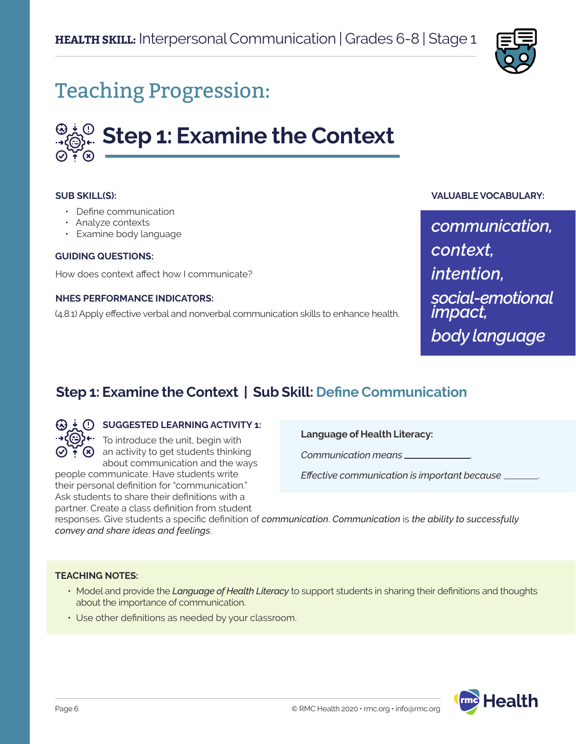

## Teaching Progression:

# **Step 1: Examine the Context**

#### **SUB SKILL(S):**

- Define communication
- Analyze contexts
- Examine body language

#### **GUIDING QUESTIONS:**

How does context affect how I communicate?

#### **NHES PERFORMANCE INDICATORS:**

(4.8.1) Apply effective verbal and nonverbal communication skills to enhance health.

#### **VALUABLE VOCABULARY:**

*communication, context, intention, social-emotional impact, body language*

## **Step 1: Examine the Context | Sub Skill: Define Communication**



#### **SUGGESTED LEARNING ACTIVITY 1:**

To introduce the unit, begin with  $\mathcal{F}(\mathbf{x})$  an activity to get students thinking about communication and the ways

people communicate. Have students write their personal definition for "communication." Ask students to share their definitions with a partner. Create a class definition from student **Language of Health Literacy:**

*Communication means* .

*Effective communication is important because* .

responses. Give students a specific definition of *communication*. *Communication* is *the ability to successfully convey and share ideas and feelings*.

#### **TEACHING NOTES:**

- Model and provide the *Language of Health Literacy* to support students in sharing their definitions and thoughts about the importance of communication.
- Use other definitions as needed by your classroom.

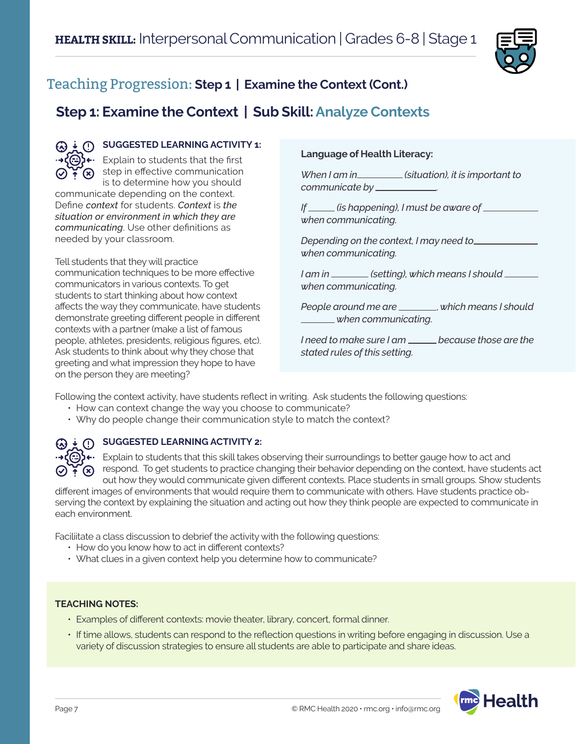

## Teaching Progression: **Step 1 | Examine the Context (Cont.)**

## **Step 1: Examine the Context | Sub Skill: Analyze Contexts**



#### **G**) **SUGGESTED LEARNING ACTIVITY 1:**

 $\leftrightarrow$  $\bigodot$   $\leftarrow$  Explain to students that the first  $\bigcirc$  if  $\circ$  step in effective communication is to determine how you should

communicate depending on the context. Define *context* for students. *Context* is *the situation or environment in which they are communicating*. Use other definitions as needed by your classroom.

Tell students that they will practice communication techniques to be more effective communicators in various contexts. To get students to start thinking about how context affects the way they communicate, have students demonstrate greeting different people in different contexts with a partner (make a list of famous people, athletes, presidents, religious figures, etc). Ask students to think about why they chose that greeting and what impression they hope to have on the person they are meeting?

#### **Language of Health Literacy:**

*When I am in (situation), it is important to communicate by* .

*If (is happening), I must be aware of when communicating.*

*Depending on the context, I may need to when communicating.* 

*I* am in \_\_\_\_\_\_\_\_ (setting), which means I should \_\_\_\_\_ *when communicating.*

*People around me are* , *which means I should when communicating.* 

*I* need to make sure I am <u>because</u> those are the *stated rules of this setting.*

Following the context activity, have students reflect in writing. Ask students the following questions:

- How can context change the way you choose to communicate?
- Why do people change their communication style to match the context?



#### **G**) **SUGGESTED LEARNING ACTIVITY 2:**

 $\leftrightarrow$ ( $\ominus$ ) $\leftrightarrow$  Explain to students that this skill takes observing their surroundings to better gauge how to act and respond. To get students to practice changing their behavior depending on the context, have students act out how they would communicate given different contexts. Place students in small groups. Show students

different images of environments that would require them to communicate with others. Have students practice observing the context by explaining the situation and acting out how they think people are expected to communicate in each environment.

Faciliitate a class discussion to debrief the activity with the following questions:

- How do you know how to act in different contexts?
- What clues in a given context help you determine how to communicate?

#### **TEACHING NOTES:**

- Examples of different contexts: movie theater, library, concert, formal dinner.
- If time allows, students can respond to the reflection questions in writing before engaging in discussion. Use a variety of discussion strategies to ensure all students are able to participate and share ideas.

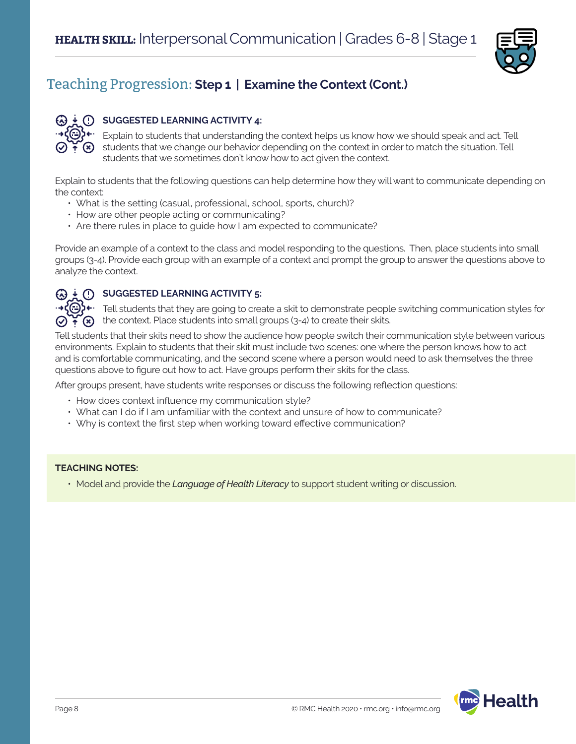

## Teaching Progression: **Step 1 | Examine the Context (Cont.)**



#### **SUGGESTED LEARNING ACTIVITY 4:**

Explain to students that understanding the context helps us know how we should speak and act. Tell students that we change our behavior depending on the context in order to match the situation. Tell students that we sometimes don't know how to act given the context.

Explain to students that the following questions can help determine how they will want to communicate depending on the context:

- What is the setting (casual, professional, school, sports, church)?
- How are other people acting or communicating?
- Are there rules in place to guide how I am expected to communicate?

Provide an example of a context to the class and model responding to the questions. Then, place students into small groups (3-4). Provide each group with an example of a context and prompt the group to answer the questions above to analyze the context.

#### **(A)**  $\frac{1}{2}$  **(I) SUGGESTED LEARNING ACTIVITY 5:**

Tell students that they are going to create a skit to demonstrate people switching communication styles for the context. Place students into small groups (3-4) to create their skits.  $\bigcirc$  +  $\bigcirc$ 

Tell students that their skits need to show the audience how people switch their communication style between various environments. Explain to students that their skit must include two scenes: one where the person knows how to act and is comfortable communicating, and the second scene where a person would need to ask themselves the three questions above to figure out how to act. Have groups perform their skits for the class.

After groups present, have students write responses or discuss the following reflection questions:

- How does context influence my communication style?
- What can I do if I am unfamiliar with the context and unsure of how to communicate?
- Why is context the first step when working toward effective communication?

#### **TEACHING NOTES:**

• Model and provide the *Language of Health Literacy* to support student writing or discussion.